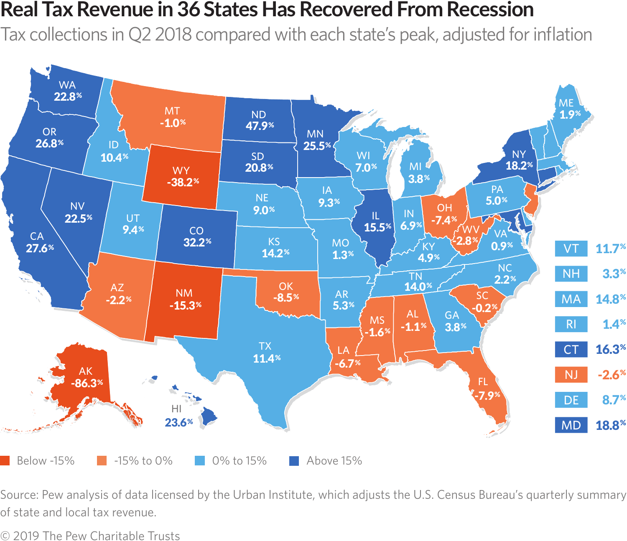## **Real Tax Revenue in 36 States Has Recovered From Recession**

Tax collections in Q2 2018 compared with each state's peak, adjusted for inflation



Source: Pew analysis of data licensed by the Urban Institute, which adjusts the U.S. Census Bureau's quarterly summary of state and local tax revenue.

© 2019 The Pew Charitable Trusts